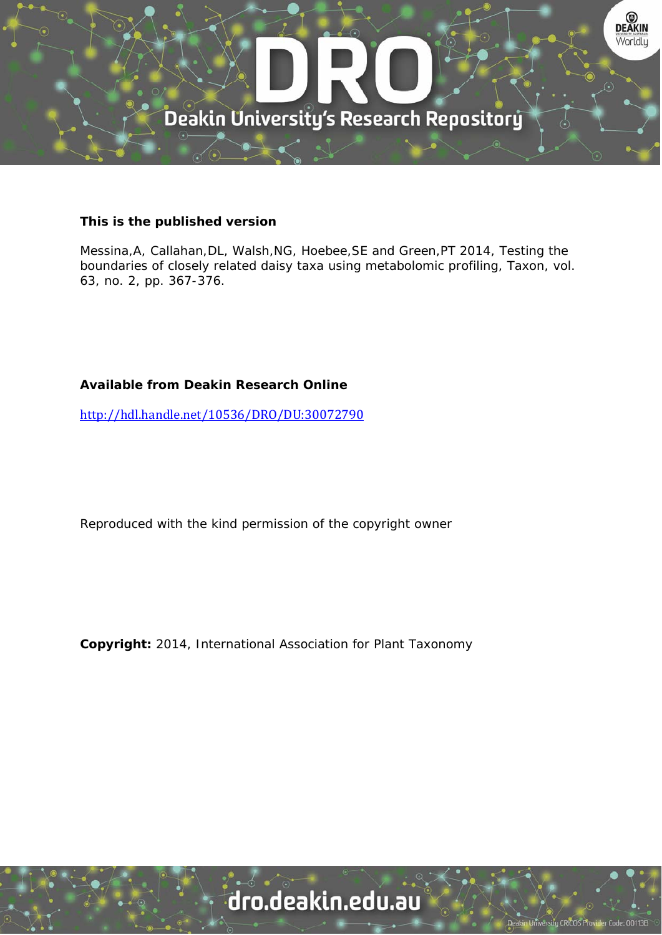

#### **This is the published version**

Messina,A, Callahan,DL, Walsh,NG, Hoebee,SE and Green,PT 2014, Testing the boundaries of closely related daisy taxa using metabolomic profiling, Taxon, vol. 63, no. 2, pp. 367-376.

### **Available from Deakin Research Online**

http://hdl.handle.net/10536/DRO/DU:30072790

Reproduced with the kind permission of the copyright owner

**Copyright:** 2014, International Association for Plant Taxonomy

# dro.deakin.edu.au

University CRICOS Pro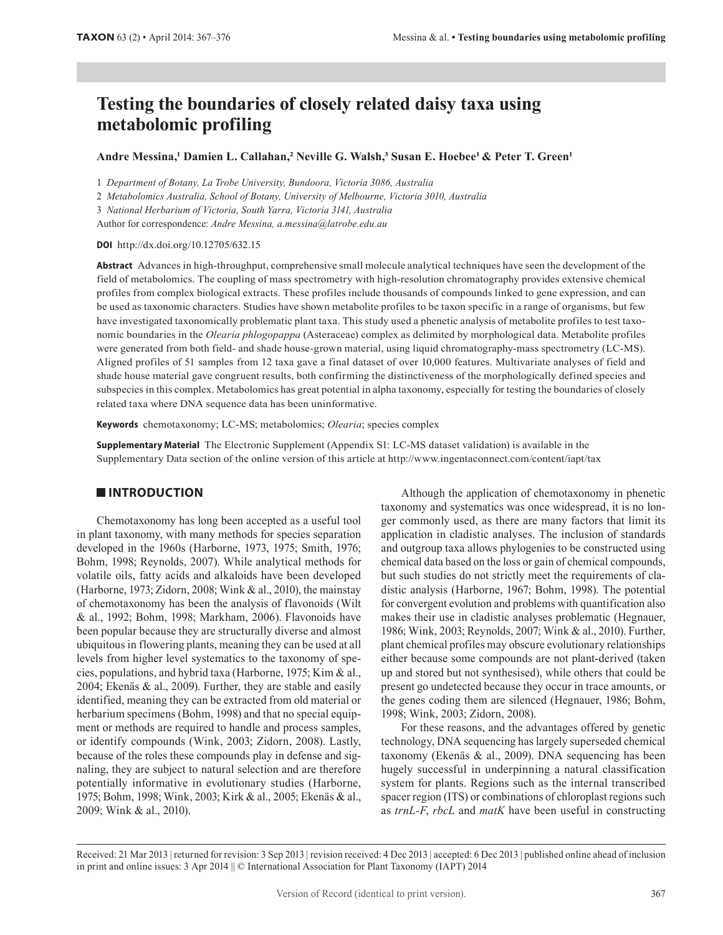## **Testing the boundaries of closely related daisy taxa using metabolomic profiling**

#### **Andre Messina,1 Damien L. Callahan,2 Neville G. Walsh,3 Susan E. Hoebee1 & Peter T. Green1**

1 *Department of Botany, La Trobe University, Bundoora, Victoria 3086, Australia*

2 *Metabolomics Australia, School of Botany, University of Melbourne, Victoria 3010, Australia*

3 *National Herbarium of Victoria, South Yarra, Victoria 3141, Australia*

Author for correspondence: *Andre Messina, a.messina@latrobe.edu.au*

**DOI** http://dx.doi.org/10.12705/632.15

**Abstract** Advances in high-throughput, comprehensive small molecule analytical techniques have seen the development of the field of metabolomics. The coupling of mass spectrometry with high-resolution chromatography provides extensive chemical profiles from complex biological extracts. These profiles include thousands of compounds linked to gene expression, and can be used as taxonomic characters. Studies have shown metabolite profiles to be taxon specific in a range of organisms, but few have investigated taxonomically problematic plant taxa. This study used a phenetic analysis of metabolite profiles to test taxonomic boundaries in the *Olearia phlogopappa* (Asteraceae) complex as delimited by morphological data. Metabolite profiles were generated from both field- and shade house-grown material, using liquid chromatography-mass spectrometry (LC-MS). Aligned profiles of 51 samples from 12 taxa gave a final dataset of over 10,000 features. Multivariate analyses of field and shade house material gave congruent results, both confirming the distinctiveness of the morphologically defined species and subspecies in this complex. Metabolomics has great potential in alpha taxonomy, especially for testing the boundaries of closely related taxa where DNA sequence data has been uninformative.

**Keywords** chemotaxonomy; LC-MS; metabolomics; *Olearia*; species complex

**Supplementary Material** The Electronic Supplement (Appendix S1: LC-MS dataset validation) is available in the Supplementary Data section of the online version of this article at http://www.ingentaconnect.com/content/iapt/tax

#### **INTRODUCTION**

Chemotaxonomy has long been accepted as a useful tool in plant taxonomy, with many methods for species separation developed in the 1960s (Harborne, 1973, 1975; Smith, 1976; Bohm, 1998; Reynolds, 2007). While analytical methods for volatile oils, fatty acids and alkaloids have been developed (Harborne, 1973; Zidorn, 2008; Wink & al., 2010), the mainstay of chemotaxonomy has been the analysis of flavonoids (Wilt & al., 1992; Bohm, 1998; Markham, 2006). Flavonoids have been popular because they are structurally diverse and almost ubiquitous in flowering plants, meaning they can be used at all levels from higher level systematics to the taxonomy of species, populations, and hybrid taxa (Harborne, 1975; Kim & al., 2004; Ekenäs & al., 2009). Further, they are stable and easily identified, meaning they can be extracted from old material or herbarium specimens (Bohm, 1998) and that no special equipment or methods are required to handle and process samples, or identify compounds (Wink, 2003; Zidorn, 2008). Lastly, because of the roles these compounds play in defense and signaling, they are subject to natural selection and are therefore potentially informative in evolutionary studies (Harborne, 1975; Bohm, 1998; Wink, 2003; Kirk & al., 2005; Ekenäs & al., 2009; Wink & al., 2010).

Although the application of chemotaxonomy in phenetic taxonomy and systematics was once widespread, it is no longer commonly used, as there are many factors that limit its application in cladistic analyses. The inclusion of standards and outgroup taxa allows phylogenies to be constructed using chemical data based on the loss or gain of chemical compounds, but such studies do not strictly meet the requirements of cladistic analysis (Harborne, 1967; Bohm, 1998). The potential for convergent evolution and problems with quantification also makes their use in cladistic analyses problematic (Hegnauer, 1986; Wink, 2003; Reynolds, 2007; Wink & al., 2010). Further, plant chemical profiles may obscure evolutionary relationships either because some compounds are not plant-derived (taken up and stored but not synthesised), while others that could be present go undetected because they occur in trace amounts, or the genes coding them are silenced (Hegnauer, 1986; Bohm, 1998; Wink, 2003; Zidorn, 2008).

For these reasons, and the advantages offered by genetic technology, DNA sequencing has largely superseded chemical taxonomy (Ekenäs & al., 2009). DNA sequencing has been hugely successful in underpinning a natural classification system for plants. Regions such as the internal transcribed spacer region (ITS) or combinations of chloroplast regions such as *trnL-F*, *rbcL* and *matK* have been useful in constructing

Received: 21 Mar 2013 | returned for revision: 3 Sep 2013 | revision received: 4 Dec 2013 | accepted: 6 Dec 2013 | published online ahead of inclusion in print and online issues: 3 Apr 2014 || © International Association for Plant Taxonomy (IAPT) 2014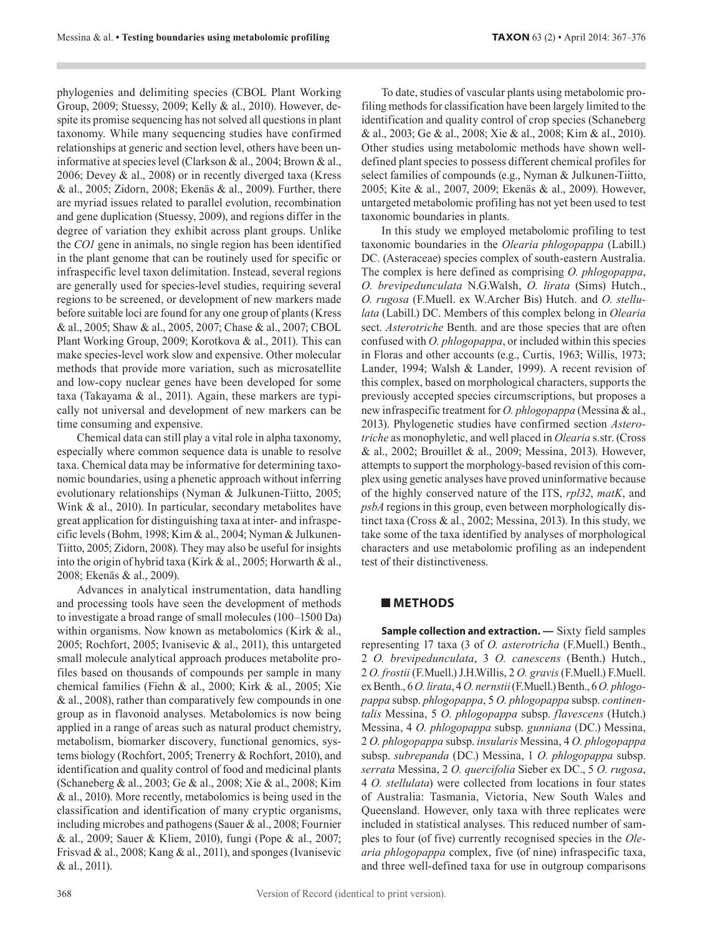phylogenies and delimiting species (CBOL Plant Working Group, 2009; Stuessy, 2009; Kelly & al., 2010). However, despite its promise sequencing has not solved all questions in plant taxonomy. While many sequencing studies have confirmed relationships at generic and section level, others have been uninformative at species level (Clarkson & al., 2004; Brown & al., 2006; Devey & al., 2008) or in recently diverged taxa (Kress & al., 2005; Zidorn, 2008; Ekenäs & al., 2009). Further, there are myriad issues related to parallel evolution, recombination and gene duplication (Stuessy, 2009), and regions differ in the degree of variation they exhibit across plant groups. Unlike the *CO1* gene in animals, no single region has been identified in the plant genome that can be routinely used for specific or infraspecific level taxon delimitation. Instead, several regions are generally used for species-level studies, requiring several regions to be screened, or development of new markers made before suitable loci are found for any one group of plants (Kress & al., 2005; Shaw & al., 2005, 2007; Chase & al., 2007; CBOL Plant Working Group, 2009; Korotkova & al., 2011). This can make species-level work slow and expensive. Other molecular methods that provide more variation, such as microsatellite and low-copy nuclear genes have been developed for some taxa (Takayama & al., 2011). Again, these markers are typically not universal and development of new markers can be time consuming and expensive.

Chemical data can still play a vital role in alpha taxonomy, especially where common sequence data is unable to resolve taxa. Chemical data may be informative for determining taxonomic boundaries, using a phenetic approach without inferring evolutionary relationships (Nyman & Julkunen-Tiitto, 2005; Wink & al., 2010). In particular, secondary metabolites have great application for distinguishing taxa at inter- and infraspecific levels (Bohm, 1998; Kim & al., 2004; Nyman & Julkunen-Tiitto, 2005; Zidorn, 2008). They may also be useful for insights into the origin of hybrid taxa (Kirk & al., 2005; Horwarth & al., 2008; Ekenäs & al., 2009).

Advances in analytical instrumentation, data handling and processing tools have seen the development of methods to investigate a broad range of small molecules (100–1500 Da) within organisms. Now known as metabolomics (Kirk & al., 2005; Rochfort, 2005; Ivanisevic & al., 2011), this untargeted small molecule analytical approach produces metabolite profiles based on thousands of compounds per sample in many chemical families (Fiehn & al., 2000; Kirk & al., 2005; Xie & al., 2008), rather than comparatively few compounds in one group as in flavonoid analyses. Metabolomics is now being applied in a range of areas such as natural product chemistry, metabolism, biomarker discovery, functional genomics, systems biology (Rochfort, 2005; Trenerry & Rochfort, 2010), and identification and quality control of food and medicinal plants (Schaneberg & al., 2003; Ge & al., 2008; Xie & al., 2008; Kim & al., 2010). More recently, metabolomics is being used in the classification and identification of many cryptic organisms, including microbes and pathogens (Sauer & al., 2008; Fournier & al., 2009; Sauer & Kliem, 2010), fungi (Pope & al., 2007; Frisvad & al., 2008; Kang & al., 2011), and sponges (Ivanisevic & al., 2011).

To date, studies of vascular plants using metabolomic profiling methods for classification have been largely limited to the identification and quality control of crop species (Schaneberg & al., 2003; Ge & al., 2008; Xie & al., 2008; Kim & al., 2010). Other studies using metabolomic methods have shown welldefined plant species to possess different chemical profiles for select families of compounds (e.g., Nyman & Julkunen-Tiitto, 2005; Kite & al., 2007, 2009; Ekenäs & al., 2009). However, untargeted metabolomic profiling has not yet been used to test taxonomic boundaries in plants.

In this study we employed metabolomic profiling to test taxonomic boundaries in the *Olearia phlogopappa* (Labill.) DC. (Asteraceae) species complex of south-eastern Australia. The complex is here defined as comprising *O. phlogopappa*, *O. brevipedunculata* N.G.Walsh, *O. lirata* (Sims) Hutch., *O. rugosa* (F.Muell. ex W.Archer Bis) Hutch. and *O. stellulata* (Labill.) DC. Members of this complex belong in *Olearia* sect. *Asterotriche* Benth. and are those species that are often confused with *O. phlogopappa*, or included within this species in Floras and other accounts (e.g., Curtis, 1963; Willis, 1973; Lander, 1994; Walsh & Lander, 1999). A recent revision of this complex, based on morphological characters, supports the previously accepted species circumscriptions, but proposes a new infraspecific treatment for *O. phlogopappa* (Messina & al., 2013). Phylogenetic studies have confirmed section *Asterotriche* as monophyletic, and well placed in *Olearia* s.str. (Cross & al., 2002; Brouillet & al., 2009; Messina, 2013). However, attempts to support the morphology-based revision of this complex using genetic analyses have proved uninformative because of the highly conserved nature of the ITS, *rpl32*, *matK*, and *psbA* regions in this group, even between morphologically distinct taxa (Cross & al*.*, 2002; Messina, 2013). In this study, we take some of the taxa identified by analyses of morphological characters and use metabolomic profiling as an independent test of their distinctiveness.

#### **METHODS**

**Sample collection and extraction. —** Sixty field samples representing 17 taxa (3 of *O. asterotricha* (F.Muell.) Benth., 2 *O. brevipedunculata*, 3 *O. canescens* (Benth.) Hutch., 2 *O. frostii* (F.Muell.) J.H.Willis, 2 *O. gravis* (F.Muell.) F.Muell. ex Benth., 6 *O. lirata*, 4 *O. nernstii* (F.Muell.) Benth., 6 *O. phlogopappa* subsp. *phlogopappa*, 5 *O. phlogopappa* subsp. *continentalis* Messina, 5 *O. phlogopappa* subsp. *flavescens* (Hutch.) Messina, 4 *O. phlogopappa* subsp. *gunniana* (DC.) Messina, 2 *O. phlogopappa* subsp. *insularis* Messina, 4 *O. phlogopappa*  subsp. *subrepanda* (DC.) Messina, 1 *O. phlogopappa* subsp. *serrata* Messina, 2 *O. quercifolia* Sieber ex DC., 5 *O. rugosa*, 4 *O. stellulata*) were collected from locations in four states of Australia: Tasmania, Victoria, New South Wales and Queensland. However, only taxa with three replicates were included in statistical analyses. This reduced number of samples to four (of five) currently recognised species in the *Olearia phlogopappa* complex, five (of nine) infraspecific taxa, and three well-defined taxa for use in outgroup comparisons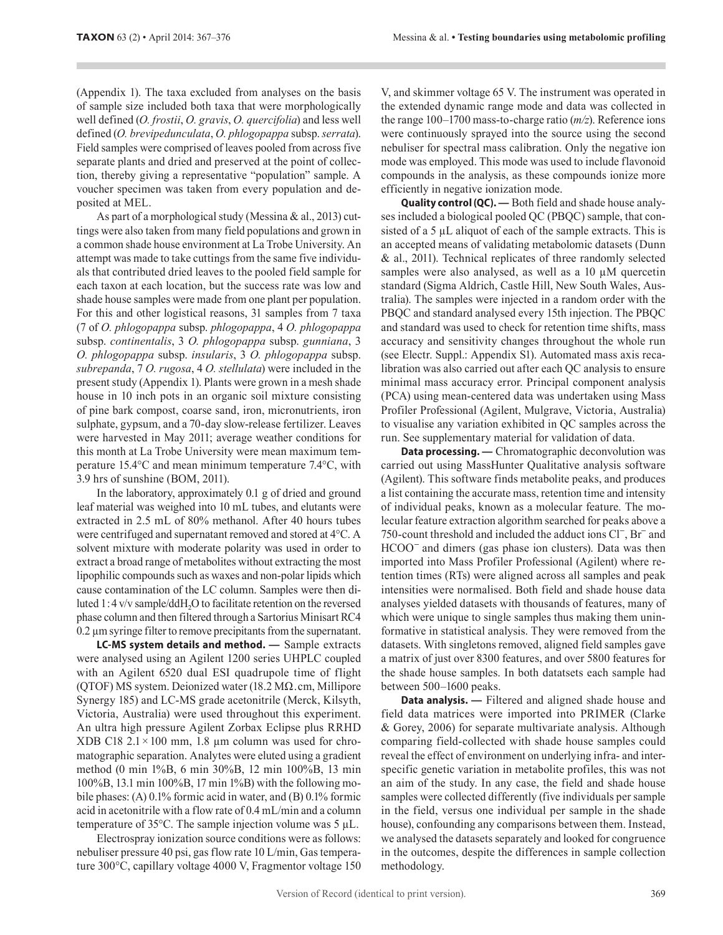(Appendix 1). The taxa excluded from analyses on the basis of sample size included both taxa that were morphologically well defined (*O. frostii*, *O. gravis*, *O. quercifolia*) and less well defined (*O. brevipedunculata*, *O. phlogopappa* subsp. *serrata*). Field samples were comprised of leaves pooled from across five separate plants and dried and preserved at the point of collection, thereby giving a representative "population" sample. A voucher specimen was taken from every population and deposited at MEL.

As part of a morphological study (Messina & al., 2013) cuttings were also taken from many field populations and grown in a common shade house environment at La Trobe University. An attempt was made to take cuttings from the same five individuals that contributed dried leaves to the pooled field sample for each taxon at each location, but the success rate was low and shade house samples were made from one plant per population. For this and other logistical reasons, 31 samples from 7 taxa (7 of *O. phlogopappa* subsp. *phlogopappa*, 4 *O. phlogopappa*  subsp. *continentalis*, 3 *O. phlogopappa* subsp. *gunniana*, 3 *O. phlogopappa* subsp. *insularis*, 3 *O. phlogopappa* subsp. *subrepanda*, 7 *O. rugosa*, 4 *O. stellulata*) were included in the present study (Appendix 1). Plants were grown in a mesh shade house in 10 inch pots in an organic soil mixture consisting of pine bark compost, coarse sand, iron, micronutrients, iron sulphate, gypsum, and a 70-day slow-release fertilizer. Leaves were harvested in May 2011; average weather conditions for this month at La Trobe University were mean maximum temperature 15.4°C and mean minimum temperature 7.4°C, with 3.9 hrs of sunshine (BOM, 2011).

In the laboratory, approximately 0.1 g of dried and ground leaf material was weighed into 10 mL tubes, and elutants were extracted in 2.5 mL of 80% methanol. After 40 hours tubes were centrifuged and supernatant removed and stored at 4°C. A solvent mixture with moderate polarity was used in order to extract a broad range of metabolites without extracting the most lipophilic compounds such as waxes and non-polar lipids which cause contamination of the LC column. Samples were then diluted 1:4 v/v sample/ddH<sub>2</sub>O to facilitate retention on the reversed phase column and then filtered through a Sartorius Minisart RC4 0.2 µm syringe filter to remove precipitants from the supernatant.

**LC-MS system details and method. —** Sample extracts were analysed using an Agilent 1200 series UHPLC coupled with an Agilent 6520 dual ESI quadrupole time of flight (QTOF) MS system. Deionized water (18.2 MΩ . cm, Millipore Synergy 185) and LC-MS grade acetonitrile (Merck, Kilsyth, Victoria, Australia) were used throughout this experiment. An ultra high pressure Agilent Zorbax Eclipse plus RRHD XDB C18  $2.1 \times 100$  mm, 1.8 µm column was used for chromatographic separation. Analytes were eluted using a gradient method (0 min 1%B, 6 min 30%B, 12 min 100%B, 13 min 100%B, 13.1 min 100%B, 17 min 1%B) with the following mobile phases: (A) 0.1% formic acid in water, and (B) 0.1% formic acid in acetonitrile with a flow rate of 0.4 mL/min and a column temperature of  $35^{\circ}$ C. The sample injection volume was  $5 \mu$ L.

Electrospray ionization source conditions were as follows: nebuliser pressure 40 psi, gas flow rate 10 L/min, Gas temperature 300°C, capillary voltage 4000 V, Fragmentor voltage 150 V, and skimmer voltage 65 V. The instrument was operated in the extended dynamic range mode and data was collected in the range 100–1700 mass-to-charge ratio (*m/z*). Reference ions were continuously sprayed into the source using the second nebuliser for spectral mass calibration. Only the negative ion mode was employed. This mode was used to include flavonoid compounds in the analysis, as these compounds ionize more efficiently in negative ionization mode.

**Quality control (QC). —** Both field and shade house analyses included a biological pooled QC (PBQC) sample, that consisted of a 5 µL aliquot of each of the sample extracts. This is an accepted means of validating metabolomic datasets (Dunn & al., 2011). Technical replicates of three randomly selected samples were also analysed, as well as a 10  $\mu$ M quercetin standard (Sigma Aldrich, Castle Hill, New South Wales, Australia). The samples were injected in a random order with the PBQC and standard analysed every 15th injection. The PBQC and standard was used to check for retention time shifts, mass accuracy and sensitivity changes throughout the whole run (see Electr. Suppl.: Appendix S1). Automated mass axis recalibration was also carried out after each QC analysis to ensure minimal mass accuracy error. Principal component analysis (PCA) using mean-centered data was undertaken using Mass Profiler Professional (Agilent, Mulgrave, Victoria, Australia) to visualise any variation exhibited in QC samples across the run. See supplementary material for validation of data.

**Data processing. —** Chromatographic deconvolution was carried out using MassHunter Qualitative analysis software (Agilent). This software finds metabolite peaks, and produces a list containing the accurate mass, retention time and intensity of individual peaks, known as a molecular feature. The molecular feature extraction algorithm searched for peaks above a 750-count threshold and included the adduct ions Cl−, Br− and HCOO<sup>−</sup> and dimers (gas phase ion clusters). Data was then imported into Mass Profiler Professional (Agilent) where retention times (RTs) were aligned across all samples and peak intensities were normalised. Both field and shade house data analyses yielded datasets with thousands of features, many of which were unique to single samples thus making them uninformative in statistical analysis. They were removed from the datasets. With singletons removed, aligned field samples gave a matrix of just over 8300 features, and over 5800 features for the shade house samples. In both datatsets each sample had between 500–1600 peaks.

**Data analysis. —** Filtered and aligned shade house and field data matrices were imported into PRIMER (Clarke & Gorey, 2006) for separate multivariate analysis. Although comparing field-collected with shade house samples could reveal the effect of environment on underlying infra- and interspecific genetic variation in metabolite profiles, this was not an aim of the study. In any case, the field and shade house samples were collected differently (five individuals per sample in the field, versus one individual per sample in the shade house), confounding any comparisons between them. Instead, we analysed the datasets separately and looked for congruence in the outcomes, despite the differences in sample collection methodology.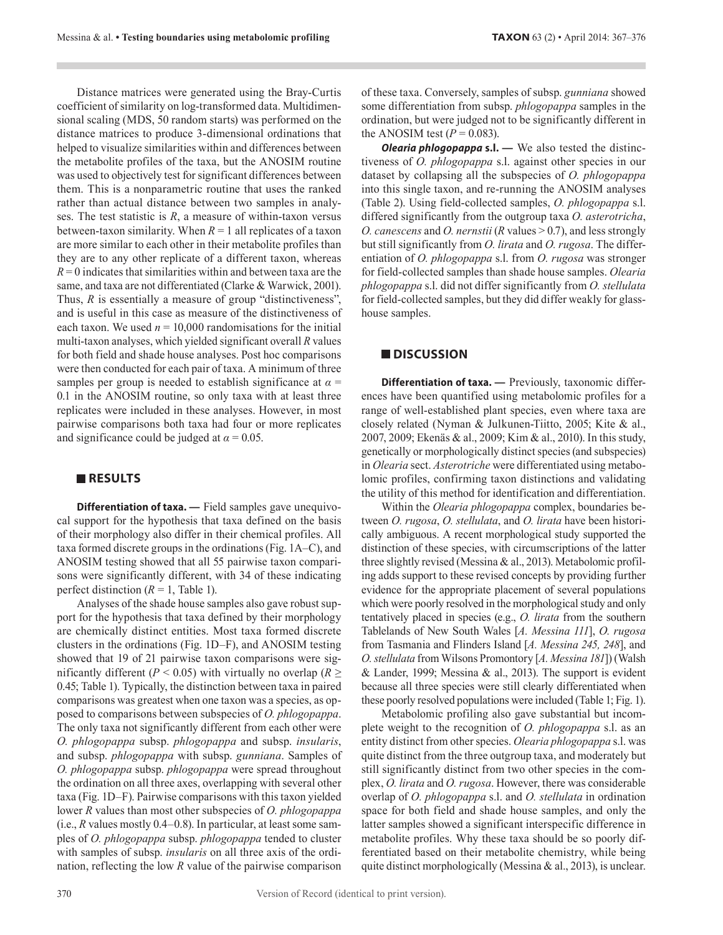Distance matrices were generated using the Bray-Curtis coefficient of similarity on log-transformed data. Multidimensional scaling (MDS, 50 random starts) was performed on the distance matrices to produce 3-dimensional ordinations that helped to visualize similarities within and differences between the metabolite profiles of the taxa, but the ANOSIM routine was used to objectively test for significant differences between them. This is a nonparametric routine that uses the ranked rather than actual distance between two samples in analyses. The test statistic is *R*, a measure of within-taxon versus between-taxon similarity. When  $R = 1$  all replicates of a taxon are more similar to each other in their metabolite profiles than they are to any other replicate of a different taxon, whereas  $R = 0$  indicates that similarities within and between taxa are the same, and taxa are not differentiated (Clarke & Warwick, 2001). Thus, *R* is essentially a measure of group "distinctiveness", and is useful in this case as measure of the distinctiveness of each taxon. We used  $n = 10,000$  randomisations for the initial multi-taxon analyses, which yielded significant overall *R* values for both field and shade house analyses. Post hoc comparisons were then conducted for each pair of taxa. A minimum of three samples per group is needed to establish significance at  $\alpha$  = 0.1 in the ANOSIM routine, so only taxa with at least three replicates were included in these analyses. However, in most pairwise comparisons both taxa had four or more replicates and significance could be judged at  $\alpha = 0.05$ .

#### **RESULTS**

**Differentiation of taxa. —** Field samples gave unequivocal support for the hypothesis that taxa defined on the basis of their morphology also differ in their chemical profiles. All taxa formed discrete groups in the ordinations (Fig. 1A–C), and ANOSIM testing showed that all 55 pairwise taxon comparisons were significantly different, with 34 of these indicating perfect distinction  $(R = 1,$  Table 1).

Analyses of the shade house samples also gave robust support for the hypothesis that taxa defined by their morphology are chemically distinct entities. Most taxa formed discrete clusters in the ordinations (Fig. 1D–F), and ANOSIM testing showed that 19 of 21 pairwise taxon comparisons were significantly different ( $P < 0.05$ ) with virtually no overlap ( $R \ge$ 0.45; Table 1). Typically, the distinction between taxa in paired comparisons was greatest when one taxon was a species, as opposed to comparisons between subspecies of *O. phlogopappa*. The only taxa not significantly different from each other were *O. phlogopappa* subsp. *phlogopappa* and subsp. *insularis*, and subsp. *phlogopappa* with subsp. *gunniana*. Samples of *O. phlogopappa* subsp. *phlogopappa* were spread throughout the ordination on all three axes, overlapping with several other taxa (Fig. 1D–F). Pairwise comparisons with this taxon yielded lower *R* values than most other subspecies of *O. phlogopappa* (i.e., *R* values mostly 0.4–0.8). In particular, at least some samples of *O. phlogopappa* subsp. *phlogopappa* tended to cluster with samples of subsp. *insularis* on all three axis of the ordination, reflecting the low *R* value of the pairwise comparison

of these taxa. Conversely, samples of subsp. *gunniana* showed some differentiation from subsp. *phlogopappa* samples in the ordination, but were judged not to be significantly different in the ANOSIM test  $(P = 0.083)$ .

*Olearia phlogopappa* **s.l. —** We also tested the distinctiveness of *O. phlogopappa* s.l. against other species in our dataset by collapsing all the subspecies of *O. phlogopappa* into this single taxon, and re-running the ANOSIM analyses (Table 2). Using field-collected samples, *O. phlogopappa* s.l. differed significantly from the outgroup taxa *O. asterotricha*, *O. canescens* and *O. nernstii* (*R* values > 0.7), and less strongly but still significantly from *O. lirata* and *O. rugosa*. The differentiation of *O. phlogopappa* s.l. from *O. rugosa* was stronger for field-collected samples than shade house samples. *Olearia phlogopappa* s.l. did not differ significantly from *O. stellulata* for field-collected samples, but they did differ weakly for glasshouse samples.

#### **DISCUSSION**

**Differentiation of taxa.** - Previously, taxonomic differences have been quantified using metabolomic profiles for a range of well-established plant species, even where taxa are closely related (Nyman & Julkunen-Tiitto, 2005; Kite & al., 2007, 2009; Ekenäs & al., 2009; Kim & al., 2010). In this study, genetically or morphologically distinct species (and subspecies) in *Olearia* sect. *Asterotriche* were differentiated using metabolomic profiles, confirming taxon distinctions and validating the utility of this method for identification and differentiation.

Within the *Olearia phlogopappa* complex, boundaries between *O. rugosa*, *O. stellulata*, and *O. lirata* have been historically ambiguous. A recent morphological study supported the distinction of these species, with circumscriptions of the latter three slightly revised (Messina & al., 2013). Metabolomic profiling adds support to these revised concepts by providing further evidence for the appropriate placement of several populations which were poorly resolved in the morphological study and only tentatively placed in species (e.g., *O. lirata* from the southern Tablelands of New South Wales [*A. Messina 111*], *O. rugosa* from Tasmania and Flinders Island [*A. Messina 245, 248*], and *O.stellulata* from Wilsons Promontory [*A. Messina 181*]) (Walsh & Lander, 1999; Messina & al., 2013). The support is evident because all three species were still clearly differentiated when these poorly resolved populations were included (Table 1; Fig. 1).

Metabolomic profiling also gave substantial but incomplete weight to the recognition of *O. phlogopappa* s.l. as an entity distinct from other species. *Olearia phlogopappa* s.l. was quite distinct from the three outgroup taxa, and moderately but still significantly distinct from two other species in the complex, *O. lirata* and *O. rugosa*. However, there was considerable overlap of *O. phlogopappa* s.l. and *O. stellulata* in ordination space for both field and shade house samples, and only the latter samples showed a significant interspecific difference in metabolite profiles. Why these taxa should be so poorly differentiated based on their metabolite chemistry, while being quite distinct morphologically (Messina & al., 2013), is unclear.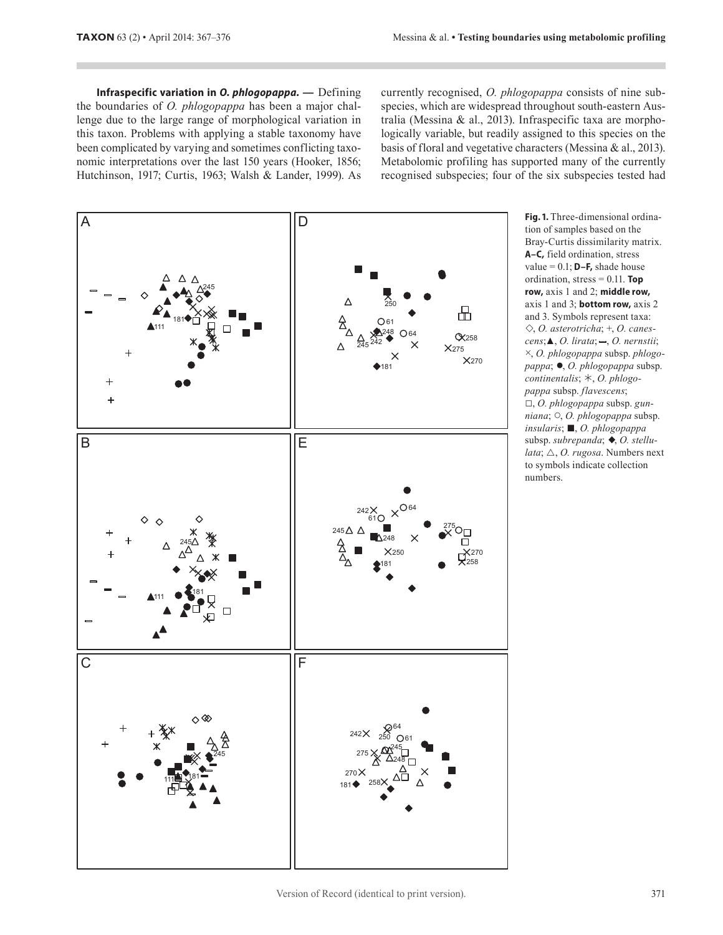**Infraspecific variation in** *O. phlogopappa.* **—** Defining the boundaries of *O. phlogopappa* has been a major challenge due to the large range of morphological variation in this taxon. Problems with applying a stable taxonomy have been complicated by varying and sometimes conflicting taxonomic interpretations over the last 150 years (Hooker, 1856; Hutchinson, 1917; Curtis, 1963; Walsh & Lander, 1999). As currently recognised, *O. phlogopappa* consists of nine subspecies, which are widespread throughout south-eastern Australia (Messina & al., 2013). Infraspecific taxa are morphologically variable, but readily assigned to this species on the basis of floral and vegetative characters (Messina & al., 2013). Metabolomic profiling has supported many of the currently recognised subspecies; four of the six subspecies tested had



**Fig. 1.** Three-dimensional ordination of samples based on the Bray-Curtis dissimilarity matrix. **A–C,** field ordination, stress value = 0.1; **D–F,** shade house ordination, stress = 0.11. **Top row,** axis 1 and 2; **middle row,** axis 1 and 3; **bottom row,** axis 2 and 3. Symbols represent taxa: , *O. asterotricha*; +, *O. canescens*;▲, *O. lirata*; – , *O. nernstii*; ×, *O. phlogopappa* subsp. *phlogopappa*; ●, *O. phlogopappa* subsp. continentalis;  $\ast$ , *O. phlogopappa* subsp. *flavescens*; □, *O. phlogopappa* subsp. *gunniana*; ○, *O. phlogopappa* subsp. *insularis*; ■, *O. phlogopappa* subsp. *subrepanda*;  $\blacklozenge$ , *O. stellu-* $\textit{data}$ ;  $\triangle$ , *O. rugosa*. Numbers next to symbols indicate collection numbers.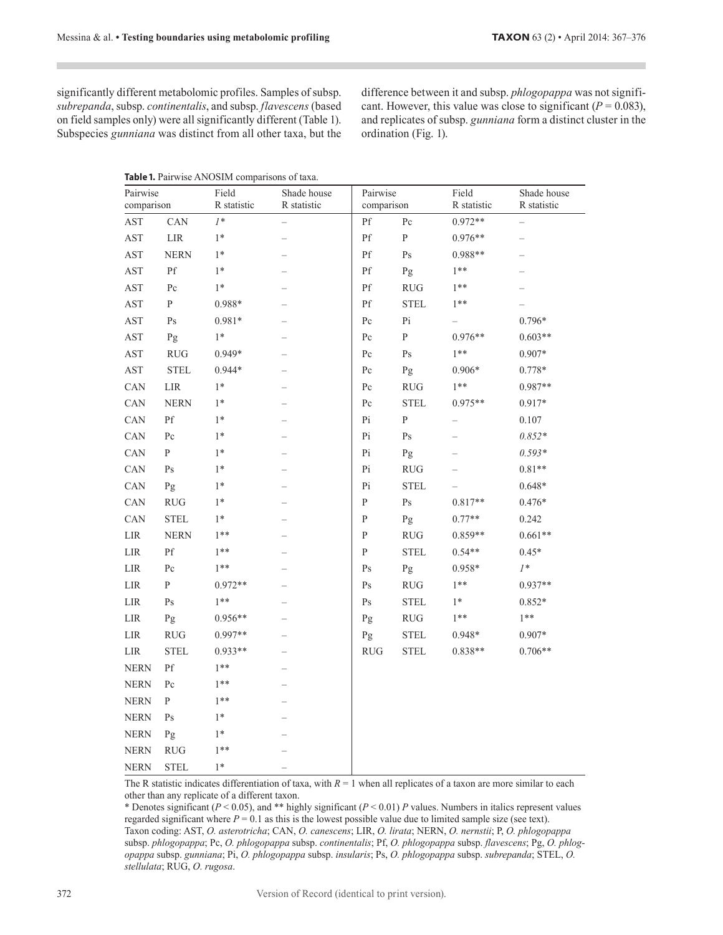significantly different metabolomic profiles. Samples of subsp. *subrepanda*, subsp. *continentalis*, and subsp. *flavescens* (based on field samples only) were all significantly different (Table 1). Subspecies *gunniana* was distinct from all other taxa, but the

difference between it and subsp. *phlogopappa* was not significant. However, this value was close to significant  $(P = 0.083)$ , and replicates of subsp. *gunniana* form a distinct cluster in the ordination (Fig. 1).

|  | Table 1. Pairwise ANOSIM comparisons of taxa. |  |
|--|-----------------------------------------------|--|
|  |                                               |  |

| Pairwise<br>comparison |                        | Field<br>R statistic | Shade house<br>R statistic | Pairwise<br>comparison |                                  | Field<br>R statistic | Shade house<br>R statistic |
|------------------------|------------------------|----------------------|----------------------------|------------------------|----------------------------------|----------------------|----------------------------|
| AST                    | CAN                    | $I^*$                | —                          | Pf                     | $\rm{P}c$                        | $0.972**$            |                            |
| AST                    | ${\rm LIR}$            | $1*$                 |                            | Pf                     | ${\bf P}$                        | 0.976**              | —                          |
| AST                    | <b>NERN</b>            | $1*$                 |                            | Pf                     | $\mathbf{P}\mathbf{s}$           | 0.988**              |                            |
| AST                    | $\mathbf{P}\mathbf{f}$ | $1*$                 |                            | $\mathbf{P}\mathbf{f}$ | Pg                               | $1**$                |                            |
| $\operatorname{AST}$   | $P_{c}$                | $1*$                 |                            | Pf                     | $\mathsf{RUG}$                   | $1***$               |                            |
| AST                    | ${\bf P}$              | 0.988*               |                            | $\mathbf{P}\mathbf{f}$ | <b>STEL</b>                      | $1**$                |                            |
| $\operatorname{AST}$   | $\mathbf{P}\mathbf{s}$ | $0.981*$             |                            | Pc                     | Pi                               |                      | $0.796*$                   |
| AST                    | Pg                     | $1*$                 |                            | $P_{c}$                | ${\bf P}$                        | $0.976**$            | $0.603**$                  |
| AST                    | <b>RUG</b>             | $0.949*$             |                            | Pc                     | $\mathbf{P}\mathbf{s}$           | $1**$                | $0.907*$                   |
| $\operatorname{AST}$   | <b>STEL</b>            | $0.944*$             |                            | $P_{c}$                | Pg                               | $0.906*$             | $0.778*$                   |
| CAN                    | LIR                    | $1*$                 |                            | Pc                     | RUG                              | $1***$               | 0.987**                    |
| CAN                    | <b>NERN</b>            | $1*$                 |                            | $P_{c}$                | <b>STEL</b>                      | 0.975**              | $0.917*$                   |
| CAN                    | Pf                     | $1*$                 |                            | Pi                     | ${\bf P}$                        |                      | 0.107                      |
| CAN                    | Pc                     | $1*$                 |                            | Pi                     | $\mathrm{Ps}$                    |                      | $0.852*$                   |
| CAN                    | P                      | $1*$                 | -                          | Pi                     | Pg                               |                      | $0.593*$                   |
| CAN                    | $\mathrm{Ps}$          | $1*$                 |                            | Pi                     | $\mathbf{R}\mathbf{U}\mathbf{G}$ |                      | $0.81**$                   |
| CAN                    | Pg                     | $1*$                 | $\overline{\phantom{0}}$   | Pi                     | <b>STEL</b>                      |                      | $0.648*$                   |
| CAN                    | <b>RUG</b>             | $1*$                 |                            | $\mathbf P$            | $\mathbf{P}\mathbf{s}$           | $0.817**$            | $0.476*$                   |
| CAN                    | <b>STEL</b>            | $1*$                 |                            | $\mathbf P$            | Pg                               | $0.77**$             | 0.242                      |
| ${\rm LIR}$            | <b>NERN</b>            | $1***$               |                            | P                      | RUG                              | $0.859**$            | $0.661**$                  |
| LIR                    | $\mathbf{P}\mathbf{f}$ | $1***$               |                            | $\mathbf P$            | <b>STEL</b>                      | $0.54**$             | $0.45*$                    |
| $_{\rm{LIR}}$          | Pc                     | $1***$               |                            | Ps                     | Pg                               | $0.958*$             | $l^*$                      |
| $_{\rm{LIR}}$          | ${\bf P}$              | $0.972**$            |                            | $\mathrm{Ps}$          | RUG                              | $1***$               | $0.937**$                  |
| ${\rm LIR}$            | $\mathbf{P}\mathbf{s}$ | $1***$               |                            | $\mathrm{Ps}$          | <b>STEL</b>                      | $1^*$                | $0.852*$                   |
| ${\rm LIR}$            | Pg                     | $0.956**$            |                            | Pg                     | $\mathsf{RUG}$                   | $1**$                | $1**$                      |
| LIR                    | <b>RUG</b>             | $0.997**$            |                            | Pg                     | <b>STEL</b>                      | $0.948*$             | $0.907*$                   |
| LIR                    | <b>STEL</b>            | 0.933**              |                            | <b>RUG</b>             | <b>STEL</b>                      | $0.838**$            | $0.706**$                  |
| <b>NERN</b>            | Pf                     | $1**$                |                            |                        |                                  |                      |                            |
| <b>NERN</b>            | $\rm{P}c$              | $1***$               |                            |                        |                                  |                      |                            |
| <b>NERN</b>            | P                      | $1***$               |                            |                        |                                  |                      |                            |
| <b>NERN</b>            | Ps                     | $1*$                 |                            |                        |                                  |                      |                            |
| <b>NERN</b>            | Pg                     | $1*$                 |                            |                        |                                  |                      |                            |
| <b>NERN</b>            | <b>RUG</b>             | $1***$               |                            |                        |                                  |                      |                            |
| <b>NERN</b>            | <b>STEL</b>            | $1*$                 |                            |                        |                                  |                      |                            |

The R statistic indicates differentiation of taxa, with  $R = 1$  when all replicates of a taxon are more similar to each other than any replicate of a different taxon.

\* Denotes significant ( $P < 0.05$ ), and \*\* highly significant ( $P < 0.01$ ) *P* values. Numbers in italics represent values regarded significant where  $P = 0.1$  as this is the lowest possible value due to limited sample size (see text). Taxon coding: AST, *O. asterotricha*; CAN, *O. canescens*; LIR, *O. lirata*; NERN, *O. nernstii*; P, *O. phlogopappa* subsp. *phlogopappa*; Pc, *O. phlogopappa* subsp. *continentalis*; Pf, *O. phlogopappa* subsp. *flavescens*; Pg, *O. phlogopappa* subsp. *gunniana*; Pi, *O. phlogopappa* subsp. *insularis*; Ps, *O. phlogopappa* subsp. *subrepanda*; STEL, *O. stellulata*; RUG, *O. rugosa*.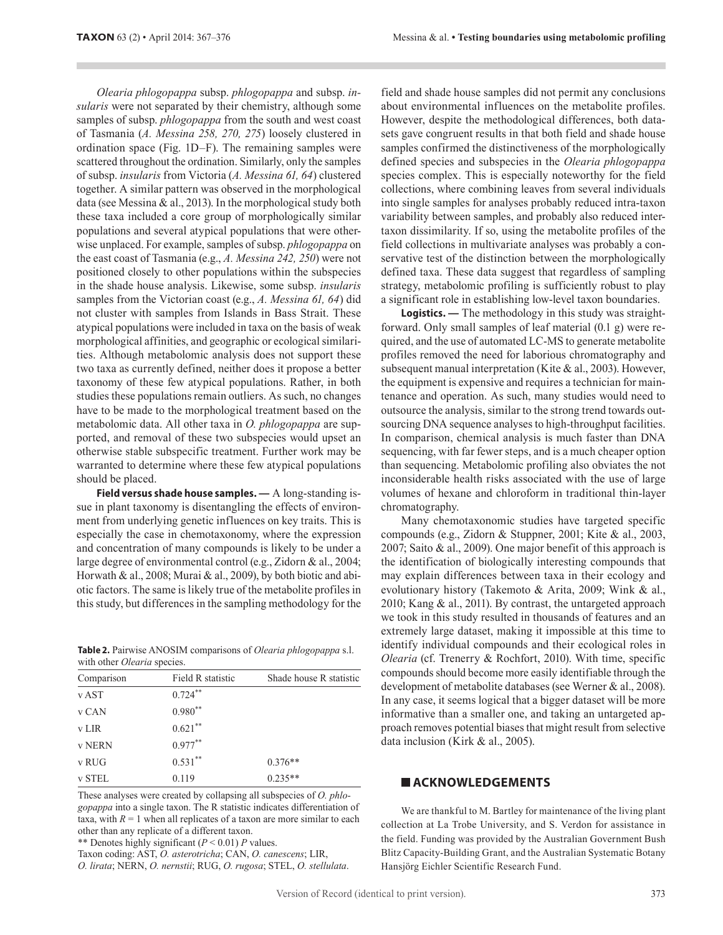*Olearia phlogopappa* subsp. *phlogopappa* and subsp. *insularis* were not separated by their chemistry, although some samples of subsp. *phlogopappa* from the south and west coast of Tasmania (*A. Messina 258, 270, 275*) loosely clustered in ordination space (Fig. 1D–F). The remaining samples were scattered throughout the ordination. Similarly, only the samples of subsp. *insularis* from Victoria (*A. Messina 61, 64*) clustered together. A similar pattern was observed in the morphological data (see Messina & al., 2013). In the morphological study both these taxa included a core group of morphologically similar populations and several atypical populations that were otherwise unplaced. For example, samples of subsp. *phlogopappa* on the east coast of Tasmania (e.g., *A. Messina 242, 250*) were not positioned closely to other populations within the subspecies in the shade house analysis. Likewise, some subsp. *insularis* samples from the Victorian coast (e.g., *A. Messina 61, 64*) did not cluster with samples from Islands in Bass Strait. These atypical populations were included in taxa on the basis of weak morphological affinities, and geographic or ecological similarities. Although metabolomic analysis does not support these two taxa as currently defined, neither does it propose a better taxonomy of these few atypical populations. Rather, in both studies these populations remain outliers. As such, no changes have to be made to the morphological treatment based on the metabolomic data. All other taxa in *O. phlogopappa* are supported, and removal of these two subspecies would upset an otherwise stable subspecific treatment. Further work may be warranted to determine where these few atypical populations should be placed.

**Field versus shade house samples. —** A long-standing issue in plant taxonomy is disentangling the effects of environment from underlying genetic influences on key traits. This is especially the case in chemotaxonomy, where the expression and concentration of many compounds is likely to be under a large degree of environmental control (e.g., Zidorn & al., 2004; Horwath & al., 2008; Murai & al., 2009), by both biotic and abiotic factors. The same is likely true of the metabolite profiles in this study, but differences in the sampling methodology for the

**Table 2.** Pairwise ANOSIM comparisons of *Olearia phlogopappa* s.l. with other *Olearia* species.

| Comparison    | Field R statistic | Shade house R statistic |
|---------------|-------------------|-------------------------|
| v AST         | $0.724***$        |                         |
| v CAN         | $0.980**$         |                         |
| <b>v</b> LIR  | $0.621***$        |                         |
| <b>v NERN</b> | $0.977**$         |                         |
| v RUG         | $0.531***$        | $0.376**$               |
| v STEL        | 0.119             | $0.235**$               |

These analyses were created by collapsing all subspecies of *O. phlogopappa* into a single taxon. The R statistic indicates differentiation of taxa, with  $R = 1$  when all replicates of a taxon are more similar to each other than any replicate of a different taxon.

\*\* Denotes highly significant (*P* < 0.01) *P* values.

Taxon coding: AST, *O. asterotricha*; CAN, *O. canescens*; LIR, *O. lirata*; NERN, *O. nernstii*; RUG, *O. rugosa*; STEL, *O. stellulata*. field and shade house samples did not permit any conclusions about environmental influences on the metabolite profiles. However, despite the methodological differences, both datasets gave congruent results in that both field and shade house samples confirmed the distinctiveness of the morphologically defined species and subspecies in the *Olearia phlogopappa* species complex. This is especially noteworthy for the field collections, where combining leaves from several individuals into single samples for analyses probably reduced intra-taxon variability between samples, and probably also reduced intertaxon dissimilarity. If so, using the metabolite profiles of the field collections in multivariate analyses was probably a conservative test of the distinction between the morphologically defined taxa. These data suggest that regardless of sampling strategy, metabolomic profiling is sufficiently robust to play a significant role in establishing low-level taxon boundaries.

**Logistics. —** The methodology in this study was straightforward. Only small samples of leaf material (0.1 g) were required, and the use of automated LC-MS to generate metabolite profiles removed the need for laborious chromatography and subsequent manual interpretation (Kite & al., 2003). However, the equipment is expensive and requires a technician for maintenance and operation. As such, many studies would need to outsource the analysis, similar to the strong trend towards outsourcing DNA sequence analyses to high-throughput facilities. In comparison, chemical analysis is much faster than DNA sequencing, with far fewer steps, and is a much cheaper option than sequencing. Metabolomic profiling also obviates the not inconsiderable health risks associated with the use of large volumes of hexane and chloroform in traditional thin-layer chromatography.

Many chemotaxonomic studies have targeted specific compounds (e.g., Zidorn & Stuppner, 2001; Kite & al., 2003, 2007; Saito & al., 2009). One major benefit of this approach is the identification of biologically interesting compounds that may explain differences between taxa in their ecology and evolutionary history (Takemoto & Arita, 2009; Wink & al., 2010; Kang & al., 2011). By contrast, the untargeted approach we took in this study resulted in thousands of features and an extremely large dataset, making it impossible at this time to identify individual compounds and their ecological roles in *Olearia* (cf. Trenerry & Rochfort, 2010). With time, specific compounds should become more easily identifiable through the development of metabolite databases (see Werner & al., 2008). In any case, it seems logical that a bigger dataset will be more informative than a smaller one, and taking an untargeted approach removes potential biases that might result from selective data inclusion (Kirk & al., 2005).

#### **ACKNOWLEDGEMENTS**

We are thankful to M. Bartley for maintenance of the living plant collection at La Trobe University, and S. Verdon for assistance in the field. Funding was provided by the Australian Government Bush Blitz Capacity-Building Grant, and the Australian Systematic Botany Hansjörg Eichler Scientific Research Fund.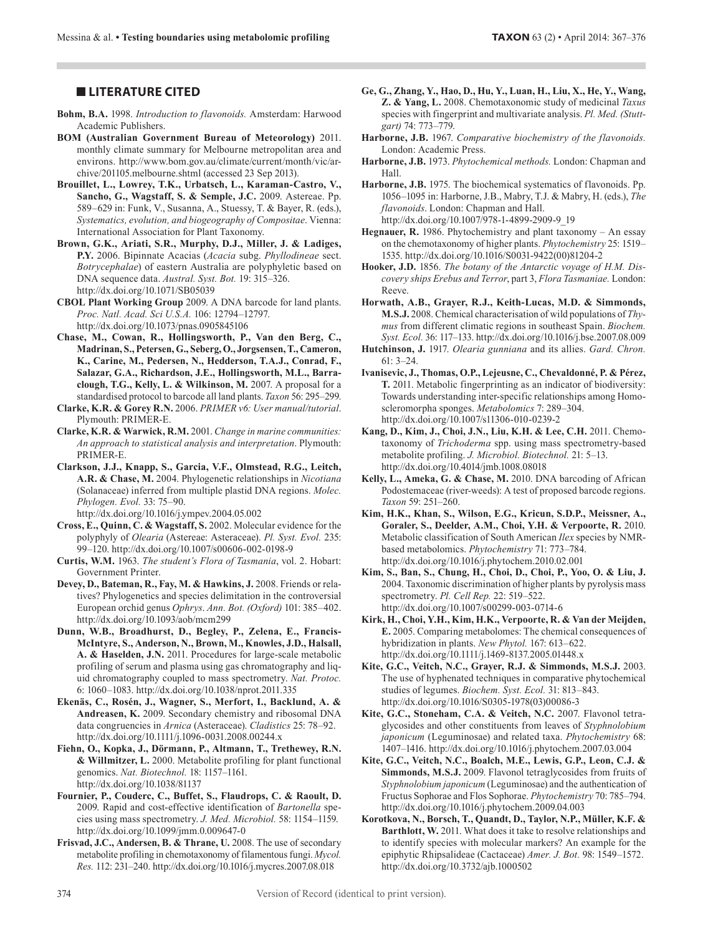- **Bohm, B.A.** 1998. *Introduction to flavonoids.* Amsterdam: Harwood Academic Publishers.
- **BOM (Australian Government Bureau of Meteorology)** 2011. monthly climate summary for Melbourne metropolitan area and environs. http://www.bom.gov.au/climate/current/month/vic/archive/201105.melbourne.shtml (accessed 23 Sep 2013).
- **Brouillet, L., Lowrey, T.K., Urbatsch, L., Karaman-Castro, V., Sancho, G., Wagstaff, S. & Semple, J.C.** 2009. Astereae. Pp. 589–629 in: Funk, V., Susanna, A., Stuessy, T. & Bayer, R. (eds.), *Systematics, evolution, and biogeography of Compositae*. Vienna: International Association for Plant Taxonomy.
- **Brown, G.K., Ariati, S.R., Murphy, D.J., Miller, J. & Ladiges, P.Y.** 2006. Bipinnate Acacias (*Acacia* subg. *Phyllodineae* sect. *Botrycephalae*) of eastern Australia are polyphyletic based on DNA sequence data. *Austral. Syst. Bot.* 19: 315–326. http://dx.doi.org/10.1071/SB05039
- **CBOL Plant Working Group** 2009. A DNA barcode for land plants. *Proc. Natl. Acad. Sci U.S.A.* 106: 12794–12797. http://dx.doi.org/10.1073/pnas.0905845106
- **Chase, M., Cowan, R., Hollingsworth, P., Van den Berg, C., Madrinan, S., Petersen, G., Seberg, O., Jorgsensen, T., Cameron, K., Carine, M., Pedersen, N., Hedderson, T.A.J., Conrad, F., Salazar, G.A., Richardson, J.E., Hollingsworth, M.L., Barraclough, T.G., Kelly, L. & Wilkinson, M.** 2007. A proposal for a standardised protocol to barcode all land plants. *Taxon* 56: 295–299.
- **Clarke, K.R. & Gorey R.N.** 2006. *PRIMER v6: User manual/tutorial*. Plymouth: PRIMER-E.
- **Clarke, K.R. & Warwick, R.M.** 2001. *Change in marine communities: An approach to statistical analysis and interpretation*. Plymouth: PRIMER-E.
- **Clarkson, J.J., Knapp, S., Garcia, V.F., Olmstead, R.G., Leitch, A.R. & Chase, M.** 2004. Phylogenetic relationships in *Nicotiana* (Solanaceae) inferred from multiple plastid DNA regions. *Molec. Phylogen. Evol.* 33: 75–90.

http://dx.doi.org/10.1016/j.ympev.2004.05.002

- **Cross, E., Quinn, C. & Wagstaff, S.** 2002. Molecular evidence for the polyphyly of *Olearia* (Astereae: Asteraceae). *Pl. Syst. Evol.* 235: 99–120. http://dx.doi.org/10.1007/s00606-002-0198-9
- **Curtis, W.M.** 1963. *The student's Flora of Tasmania*, vol. 2. Hobart: Government Printer.
- Devey, D., Bateman, R., Fay, M. & Hawkins, J. 2008. Friends or relatives? Phylogenetics and species delimitation in the controversial European orchid genus *Ophrys*. *Ann. Bot. (Oxford)* 101: 385–402. http://dx.doi.org/10.1093/aob/mcm299
- **Dunn, W.B., Broadhurst, D., Begley, P., Zelena, E., Francis-McIntyre, S., Anderson, N., Brown, M., Knowles, J.D., Halsall, A. & Haselden, J.N.** 2011. Procedures for large-scale metabolic profiling of serum and plasma using gas chromatography and liquid chromatography coupled to mass spectrometry. *Nat. Protoc.* 6: 1060–1083. http://dx.doi.org/10.1038/nprot.2011.335
- **Ekenäs, C., Rosén, J., Wagner, S., Merfort, I., Backlund, A. & Andreasen, K.** 2009. Secondary chemistry and ribosomal DNA data congruencies in *Arnica* (Asteraceae). *Cladistics* 25: 78–92. http://dx.doi.org/10.1111/j.1096-0031.2008.00244.x
- **Fiehn, O., Kopka, J., Dörmann, P., Altmann, T., Trethewey, R.N. & Willmitzer, L.** 2000. Metabolite profiling for plant functional genomics. *Nat. Biotechnol.* 18: 1157–1161. http://dx.doi.org/10.1038/81137
- **Fournier, P., Couderc, C., Buffet, S., Flaudrops, C. & Raoult, D.**  2009. Rapid and cost-effective identification of *Bartonella* species using mass spectrometry. *J. Med. Microbiol.* 58: 1154–1159. http://dx.doi.org/10.1099/jmm.0.009647-0
- Frisvad, J.C., Andersen, B. & Thrane, U. 2008. The use of secondary metabolite profiling in chemotaxonomy of filamentous fungi. *Mycol. Res.* 112: 231–240. http://dx.doi.org/10.1016/j.mycres.2007.08.018
- **LITERATURE CITED Ge, G., Zhang, Y., Hao, D., Hu, Y., Luan, H., Liu, X., He, Y., Wang, Z. & Yang, L.** 2008. Chemotaxonomic study of medicinal *Taxus* species with fingerprint and multivariate analysis. *Pl. Med. (Stuttgart)* 74: 773–779.
	- **Harborne, J.B.** 1967. *Comparative biochemistry of the flavonoids.* London: Academic Press.
	- **Harborne, J.B.** 1973. *Phytochemical methods.* London: Chapman and Hall.
	- **Harborne, J.B.** 1975. The biochemical systematics of flavonoids. Pp. 1056–1095 in: Harborne, J.B., Mabry, T.J. & Mabry, H. (eds.), *The flavonoids*. London: Chapman and Hall. http://dx.doi.org/10.1007/978-1-4899-2909-9\_19
	- **Hegnauer, R.** 1986. Phytochemistry and plant taxonomy An essay on the chemotaxonomy of higher plants. *Phytochemistry* 25: 1519– 1535. http://dx.doi.org/10.1016/S0031-9422(00)81204-2
	- **Hooker, J.D.** 1856. *The botany of the Antarctic voyage of H.M. Discovery ships Erebus and Terror*, part 3, *Flora Tasmaniae.* London: Reeve.
	- **Horwath, A.B., Grayer, R.J., Keith-Lucas, M.D. & Simmonds, M.S.J.** 2008. Chemical characterisation of wild populations of *Thymus* from different climatic regions in southeast Spain. *Biochem. Syst. Ecol.* 36: 117–133. http://dx.doi.org/10.1016/j.bse.2007.08.009
	- **Hutchinson, J.** 1917. *Olearia gunniana* and its allies. *Gard. Chron.* 61: 3–24.
	- **Ivanisevic, J., Thomas, O.P., Lejeusne, C., Chevaldonné, P. & Pérez, T.** 2011. Metabolic fingerprinting as an indicator of biodiversity: Towards understanding inter-specific relationships among Homoscleromorpha sponges. *Metabolomics* 7: 289–304. http://dx.doi.org/10.1007/s11306-010-0239-2
	- **Kang, D., Kim, J., Choi, J.N., Liu, K.H. & Lee, C.H.** 2011. Chemotaxonomy of *Trichoderma* spp. using mass spectrometry-based metabolite profiling. *J. Microbiol. Biotechnol.* 21: 5–13. http://dx.doi.org/10.4014/jmb.1008.08018
	- **Kelly, L., Ameka, G. & Chase, M.** 2010. DNA barcoding of African Podostemaceae (river-weeds): A test of proposed barcode regions. *Taxon* 59: 251–260.
	- **Kim, H.K., Khan, S., Wilson, E.G., Kricun, S.D.P., Meissner, A., Goraler, S., Deelder, A.M., Choi, Y.H. & Verpoorte, R.** 2010. Metabolic classification of South American *Ilex* species by NMRbased metabolomics. *Phytochemistry* 71: 773–784. http://dx.doi.org/10.1016/j.phytochem.2010.02.001
	- **Kim, S., Ban, S., Chung, H., Choi, D., Choi, P., Yoo, O. & Liu, J.**  2004. Taxonomic discrimination of higher plants by pyrolysis mass spectrometry. *Pl. Cell Rep.* 22: 519–522. http://dx.doi.org/10.1007/s00299-003-0714-6
	- **Kirk, H., Choi, Y.H., Kim, H.K., Verpoorte, R. & Van der Meijden, E.** 2005. Comparing metabolomes: The chemical consequences of hybridization in plants. *New Phytol.* 167: 613–622. http://dx.doi.org/10.1111/j.1469-8137.2005.01448.x
	- **Kite, G.C., Veitch, N.C., Grayer, R.J. & Simmonds, M.S.J.** 2003. The use of hyphenated techniques in comparative phytochemical studies of legumes. *Biochem. Syst. Ecol.* 31: 813–843. http://dx.doi.org/10.1016/S0305-1978(03)00086-3
	- **Kite, G.C., Stoneham, C.A. & Veitch, N.C.** 2007. Flavonol tetraglycosides and other constituents from leaves of *Styphnolobium japonicum* (Leguminosae) and related taxa. *Phytochemistry* 68: 1407–1416. http://dx.doi.org/10.1016/j.phytochem.2007.03.004
	- **Kite, G.C., Veitch, N.C., Boalch, M.E., Lewis, G.P., Leon, C.J. & Simmonds, M.S.J.** 2009. Flavonol tetraglycosides from fruits of *Styphnolobium japonicum* (Leguminosae) and the authentication of Fructus Sophorae and Flos Sophorae. *Phytochemistry* 70: 785–794. http://dx.doi.org/10.1016/j.phytochem.2009.04.003
	- **Korotkova, N., Borsch, T., Quandt, D., Taylor, N.P., Müller, K.F. & Barthlott, W.** 2011. What does it take to resolve relationships and to identify species with molecular markers? An example for the epiphytic Rhipsalideae (Cactaceae) *Amer. J. Bot.* 98: 1549–1572. http://dx.doi.org/10.3732/ajb.1000502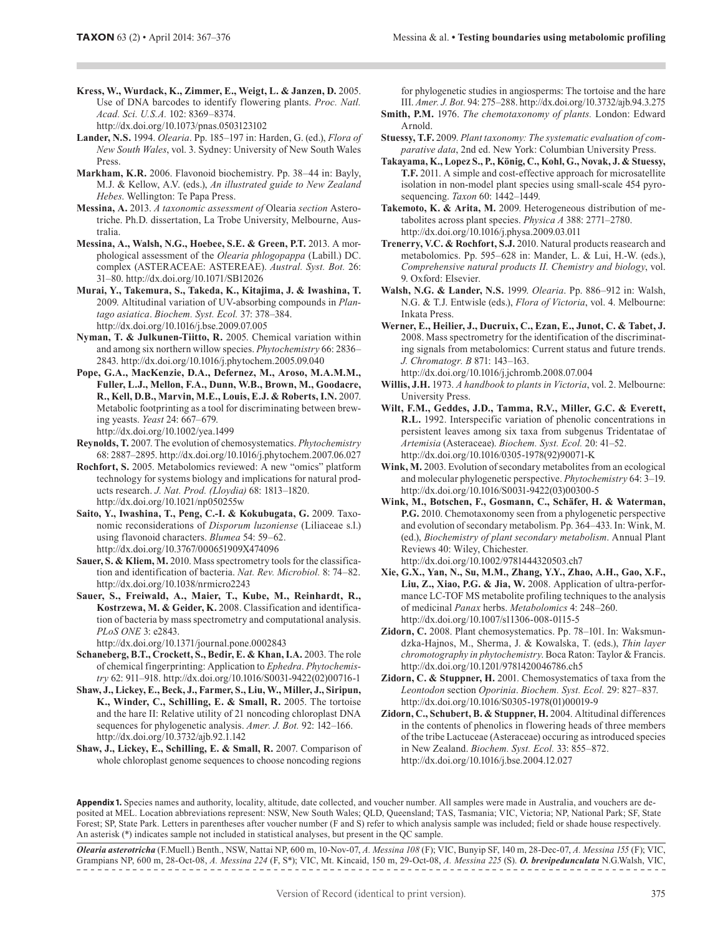- **Kress, W., Wurdack, K., Zimmer, E., Weigt, L. & Janzen, D.** 2005. Use of DNA barcodes to identify flowering plants. *Proc. Natl. Acad. Sci. U.S.A.* 102: 8369–8374. http://dx.doi.org/10.1073/pnas.0503123102
- **Lander, N.S.** 1994. *Olearia*. Pp. 185–197 in: Harden, G. (ed.), *Flora of New South Wales*, vol. 3. Sydney: University of New South Wales **Press**
- **Markham, K.R.** 2006. Flavonoid biochemistry. Pp. 38–44 in: Bayly, M.J. & Kellow, A.V. (eds.), *An illustrated guide to New Zealand Hebes*. Wellington: Te Papa Press.
- **Messina, A.** 2013. *A taxonomic assessment of* Olearia *section* Asterotriche. Ph.D. dissertation, La Trobe University, Melbourne, Australia.
- **Messina, A., Walsh, N.G., Hoebee, S.E. & Green, P.T.** 2013. A morphological assessment of the *Olearia phlogopappa* (Labill.) DC. complex (ASTERACEAE: ASTEREAE). *Austral. Syst. Bot.* 26: 31–80. http://dx.doi.org/10.1071/SB12026
- **Murai, Y., Takemura, S., Takeda, K., Kitajima, J. & Iwashina, T.**  2009. Altitudinal variation of UV-absorbing compounds in *Plantago asiatica*. *Biochem. Syst. Ecol.* 37: 378–384. http://dx.doi.org/10.1016/j.bse.2009.07.005
- **Nyman, T. & Julkunen-Tiitto, R.** 2005. Chemical variation within and among six northern willow species. *Phytochemistry* 66: 2836– 2843. http://dx.doi.org/10.1016/j.phytochem.2005.09.040
- **Pope, G.A., MacKenzie, D.A., Defernez, M., Aroso, M.A.M.M., Fuller, L.J., Mellon, F.A., Dunn, W.B., Brown, M., Goodacre, R., Kell, D.B., Marvin, M.E., Louis, E.J. & Roberts, I.N.** 2007. Metabolic footprinting as a tool for discriminating between brewing yeasts. *Yeast* 24: 667–679. http://dx.doi.org/10.1002/yea.1499
- **Reynolds, T.** 2007. The evolution of chemosystematics. *Phytochemistry* 68: 2887–2895. http://dx.doi.org/10.1016/j.phytochem.2007.06.027
- **Rochfort, S.** 2005. Metabolomics reviewed: A new "omics" platform technology for systems biology and implications for natural products research. *J. Nat. Prod. (Lloydia)* 68: 1813–1820. http://dx.doi.org/10.1021/np050255w
- **Saito, Y., Iwashina, T., Peng, C.-I. & Kokubugata, G.** 2009. Taxonomic reconsiderations of *Disporum luzoniense* (Liliaceae s.l.) using flavonoid characters. *Blumea* 54: 59–62. http://dx.doi.org/10.3767/000651909X474096
- **Sauer, S. & Kliem, M.** 2010. Mass spectrometry tools for the classification and identification of bacteria. *Nat. Rev. Microbiol.* 8: 74–82. http://dx.doi.org/10.1038/nrmicro2243
- **Sauer, S., Freiwald, A., Maier, T., Kube, M., Reinhardt, R., Kostrzewa, M. & Geider, K.** 2008. Classification and identification of bacteria by mass spectrometry and computational analysis. *PLoS ONE* 3: e2843.

http://dx.doi.org/10.1371/journal.pone.0002843

- **Schaneberg, B.T., Crockett, S., Bedir, E. & Khan, I.A.** 2003. The role of chemical fingerprinting: Application to *Ephedra*. *Phytochemistry* 62: 911–918. http://dx.doi.org/10.1016/S0031-9422(02)00716-1
- **Shaw, J., Lickey, E., Beck, J., Farmer, S., Liu, W., Miller, J., Siripun, K., Winder, C., Schilling, E. & Small, R.** 2005. The tortoise and the hare II: Relative utility of 21 noncoding chloroplast DNA sequences for phylogenetic analysis. *Amer. J. Bot.* 92: 142–166. http://dx.doi.org/10.3732/ajb.92.1.142
- **Shaw, J., Lickey, E., Schilling, E. & Small, R.** 2007. Comparison of whole chloroplast genome sequences to choose noncoding regions

for phylogenetic studies in angiosperms: The tortoise and the hare III. *Amer. J. Bot.* 94: 275–288. http://dx.doi.org/10.3732/ajb.94.3.275

- **Smith, P.M.** 1976. *The chemotaxonomy of plants.* London: Edward Arnold.
- **Stuessy, T.F.** 2009. *Plant taxonomy: The systematic evaluation of comparative data*, 2nd ed. New York: Columbian University Press.
- **Takayama, K., Lopez S., P., König, C., Kohl, G., Novak, J. & Stuessy, T.F.** 2011. A simple and cost-effective approach for microsatellite isolation in non-model plant species using small-scale 454 pyrosequencing. *Taxon* 60: 1442–1449.
- **Takemoto, K. & Arita, M.** 2009. Heterogeneous distribution of metabolites across plant species. *Physica A* 388: 2771–2780. http://dx.doi.org/10.1016/j.physa.2009.03.011
- **Trenerry, V.C. & Rochfort, S.J.** 2010. Natural products reasearch and metabolomics. Pp. 595–628 in: Mander, L. & Lui, H.-W. (eds.), *Comprehensive natural products II. Chemistry and biology*, vol. 9. Oxford: Elsevier.
- **Walsh, N.G. & Lander, N.S.** 1999. *Olearia*. Pp. 886–912 in: Walsh, N.G. & T.J. Entwisle (eds.), *Flora of Victoria*, vol. 4. Melbourne: Inkata Press.
- **Werner, E., Heilier, J., Ducruix, C., Ezan, E., Junot, C. & Tabet, J.**  2008. Mass spectrometry for the identification of the discriminating signals from metabolomics: Current status and future trends. *J. Chromatogr. B* 871: 143–163.
- http://dx.doi.org/10.1016/j.jchromb.2008.07.004 **Willis, J.H.** 1973. *A handbook to plants in Victoria*, vol. 2. Melbourne: University Press.
- **Wilt, F.M., Geddes, J.D., Tamma, R.V., Miller, G.C. & Everett, R.L.** 1992. Interspecific variation of phenolic concentrations in persistent leaves among six taxa from subgenus Tridentatae of *Artemisia* (Asteraceae). *Biochem. Syst. Ecol.* 20: 41–52. http://dx.doi.org/10.1016/0305-1978(92)90071-K
- **Wink, M.** 2003. Evolution of secondary metabolites from an ecological and molecular phylogenetic perspective. *Phytochemistry* 64: 3–19. http://dx.doi.org/10.1016/S0031-9422(03)00300-5
- **Wink, M., Botschen, F., Gosmann, C., Schäfer, H. & Waterman, P.G.** 2010. Chemotaxonomy seen from a phylogenetic perspective and evolution of secondary metabolism. Pp. 364–433. In: Wink, M. (ed.), *Biochemistry of plant secondary metabolism*. Annual Plant Reviews 40: Wiley, Chichester. http://dx.doi.org/10.1002/9781444320503.ch7
- **Xie, G.X., Yan, N., Su, M.M., Zhang, Y.Y., Zhao, A.H., Gao, X.F., Liu, Z., Xiao, P.G. & Jia, W.** 2008. Application of ultra-performance LC-TOF MS metabolite profiling techniques to the analysis of medicinal *Panax* herbs. *Metabolomics* 4: 248–260. http://dx.doi.org/10.1007/s11306-008-0115-5
- **Zidorn, C.** 2008. Plant chemosystematics. Pp. 78–101. In: Waksmundzka-Hajnos, M., Sherma, J. & Kowalska, T. (eds.), *Thin layer chromotography in phytochemistry*. Boca Raton: Taylor & Francis. http://dx.doi.org/10.1201/9781420046786.ch5
- **Zidorn, C. & Stuppner, H.** 2001. Chemosystematics of taxa from the *Leontodon* section *Oporinia*. *Biochem. Syst. Ecol.* 29: 827–837. http://dx.doi.org/10.1016/S0305-1978(01)00019-9
- **Zidorn, C., Schubert, B. & Stuppner, H.** 2004. Altitudinal differences in the contents of phenolics in flowering heads of three members of the tribe Lactuceae (Asteraceae) occuring as introduced species in New Zealand. *Biochem. Syst. Ecol.* 33: 855–872. http://dx.doi.org/10.1016/j.bse.2004.12.027

**Appendix 1.** Species names and authority, locality, altitude, date collected, and voucher number. All samples were made in Australia, and vouchers are deposited at MEL. Location abbreviations represent: NSW, New South Wales; QLD, Queensland; TAS, Tasmania; VIC, Victoria; NP, National Park; SF, State Forest; SP, State Park. Letters in parentheses after voucher number (F and S) refer to which analysis sample was included; field or shade house respectively. An asterisk (\*) indicates sample not included in statistical analyses, but present in the QC sample.

*Olearia asterotricha* (F.Muell.) Benth., NSW, Nattai NP, 600 m, 10-Nov-07, *A. Messina 108* (F); VIC, Bunyip SF, 140 m, 28-Dec-07, *A. Messina 155* (F); VIC, Grampians NP, 600 m, 28-Oct-08, *A. Messina 224* (F, S\*); VIC, Mt. Kincaid, 150 m, 29-Oct-08, *A. Messina 225* (S). *O. brevipedunculata* N.G.Walsh, VIC,